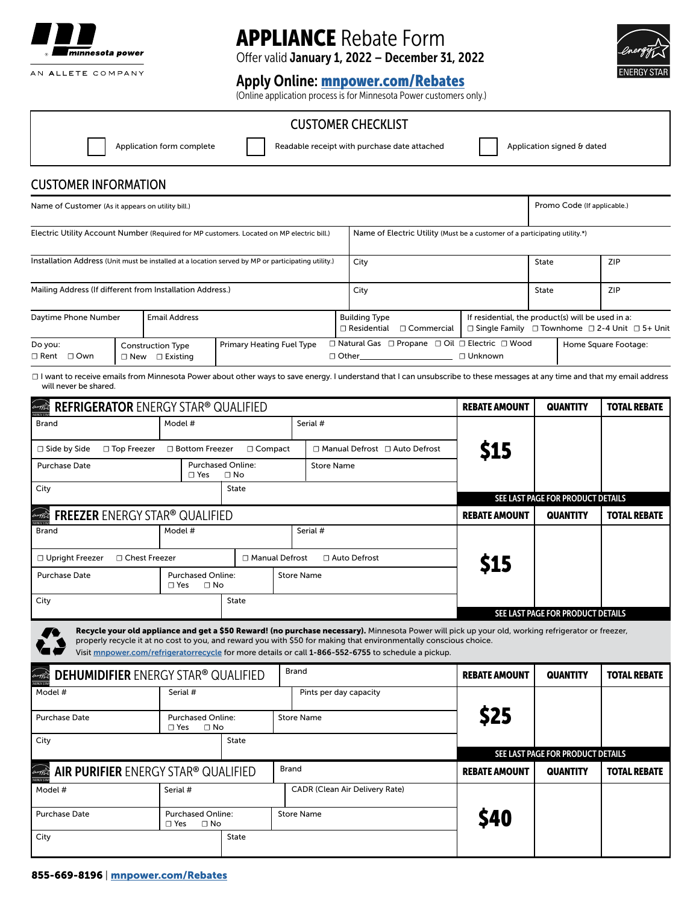

# APPLIANCE Rebate Form

Offer valid January 1, 2022 – December 31, 2022

## Apply Online: [mnpower.com/Rebates](http://www.mnpower.com/rebates)

(Online application process is for Minnesota Power customers only.)

### CUSTOMER CHECKLIST

Application form complete | Readable receipt with purchase date attached | Application signed & dated

Promo Code (If applicable.)

## CUSTOMER INFORMATION

Name of Customer (As it appears on utility bill.)

Electric Utility Account Number (Required for MP customers. Located on MP electric bill.) | Name of Electric Utility (Must be a customer of a participating utility.\*) Mailing Address (If different from Installation Address.) Installation Address (Unit must be installed at a location served by MP or participating utility.) Daytime Phone Number ☐ Rent ☐ Own □ Other\_ Do you: 
□ Construction Type Interview Primary Heating Fuel Type □ Natural Gas □ Propane □ Oil □ Electric □ Wood ☐ Residential ☐ New ☐ Existing ☐ Commercial ☐ Unknown Email Address City **State** State **State** State State | ZIP ZIP City Construction Type Primary Heating Fuel Type Building Type Home Square Footage: If residential, the product(s) will be used in a: ☐ Single Family ☐ Townhome ☐ 2-4 Unit ☐ 5+ Unit

□ I want to receive emails from Minnesota Power about other ways to save energy. I understand that I can unsubscribe to these messages at any time and that my email address will never be shared.

| <b>REFRIGERATOR ENERGY STAR® QUALIFIED</b>                                                                                                                                                                                                                                                                                                                                     |                                                       |              |                   | <b>REBATE AMOUNT</b>                  | <b>QUANTITY</b>      | <b>TOTAL REBATE</b>               |                     |
|--------------------------------------------------------------------------------------------------------------------------------------------------------------------------------------------------------------------------------------------------------------------------------------------------------------------------------------------------------------------------------|-------------------------------------------------------|--------------|-------------------|---------------------------------------|----------------------|-----------------------------------|---------------------|
| <b>Brand</b>                                                                                                                                                                                                                                                                                                                                                                   | Model #                                               |              |                   | Serial #                              |                      |                                   |                     |
| $\Box$ Side by Side<br>$\Box$ Top Freezer                                                                                                                                                                                                                                                                                                                                      | □ Bottom Freezer<br>$\Box$ Compact                    |              |                   | □ Manual Defrost □ Auto Defrost       | <b>\$15</b>          |                                   |                     |
| <b>Purchase Date</b>                                                                                                                                                                                                                                                                                                                                                           | <b>Purchased Online:</b><br>$\sqcap$ Yes<br>$\Box$ No |              |                   | <b>Store Name</b>                     |                      |                                   |                     |
| City                                                                                                                                                                                                                                                                                                                                                                           | <b>State</b>                                          |              |                   |                                       |                      | SEE LAST PAGE FOR PRODUCT DETAILS |                     |
| FREEZER ENERGY STAR® QUALIFIED                                                                                                                                                                                                                                                                                                                                                 |                                                       |              |                   |                                       | <b>REBATE AMOUNT</b> | <b>QUANTITY</b>                   | <b>TOTAL REBATE</b> |
| <b>Brand</b>                                                                                                                                                                                                                                                                                                                                                                   | Model #                                               |              |                   | Serial #                              |                      |                                   |                     |
| □ Upright Freezer<br>□ Chest Freezer                                                                                                                                                                                                                                                                                                                                           | □ Manual Defrost                                      |              |                   | □ Auto Defrost                        |                      |                                   |                     |
| <b>Purchase Date</b>                                                                                                                                                                                                                                                                                                                                                           | <b>Purchased Online:</b><br>$\Box$ No<br>$\Box$ Yes   |              | <b>Store Name</b> |                                       |                      |                                   |                     |
| City                                                                                                                                                                                                                                                                                                                                                                           | <b>State</b>                                          |              |                   |                                       |                      | SEE LAST PAGE FOR PRODUCT DETAILS |                     |
| Recycle your old appliance and get a \$50 Reward! (no purchase necessary). Minnesota Power will pick up your old, working refrigerator or freezer,<br>properly recycle it at no cost to you, and reward you with \$50 for making that environmentally conscious choice.<br>Visit mnpower.com/refrigeratorrecycle for more details or call 1-866-552-6755 to schedule a pickup. |                                                       |              |                   |                                       |                      |                                   |                     |
| <b>DEHUMIDIFIER</b> ENERGY STAR® QUALIFIED                                                                                                                                                                                                                                                                                                                                     |                                                       | <b>Brand</b> |                   | <b>REBATE AMOUNT</b>                  | <b>QUANTITY</b>      | <b>TOTAL REBATE</b>               |                     |
| Model #                                                                                                                                                                                                                                                                                                                                                                        | Serial #                                              |              |                   | Pints per day capacity                |                      |                                   |                     |
| <b>Purchase Date</b>                                                                                                                                                                                                                                                                                                                                                           | <b>Purchased Online:</b><br>$\Box$ Yes<br>$\Box$ No   |              | <b>Store Name</b> |                                       | <b>S25</b>           |                                   |                     |
| City                                                                                                                                                                                                                                                                                                                                                                           | <b>State</b>                                          |              |                   |                                       |                      |                                   |                     |
|                                                                                                                                                                                                                                                                                                                                                                                |                                                       |              | <b>Brand</b>      |                                       |                      | SEE LAST PAGE FOR PRODUCT DETAILS |                     |
| AIR PURIFIER ENERGY STAR® QUALIFIED<br>envoyed                                                                                                                                                                                                                                                                                                                                 |                                                       |              |                   |                                       | <b>REBATE AMOUNT</b> | <b>QUANTITY</b>                   | <b>TOTAL REBATE</b> |
| Model #                                                                                                                                                                                                                                                                                                                                                                        | Serial #                                              |              |                   | <b>CADR (Clean Air Delivery Rate)</b> |                      |                                   |                     |
| <b>Purchase Date</b>                                                                                                                                                                                                                                                                                                                                                           | <b>Purchased Online:</b><br>$\Box$ No<br>$\Box$ Yes   |              | <b>Store Name</b> |                                       |                      |                                   |                     |
| City                                                                                                                                                                                                                                                                                                                                                                           | State                                                 |              |                   |                                       |                      |                                   |                     |

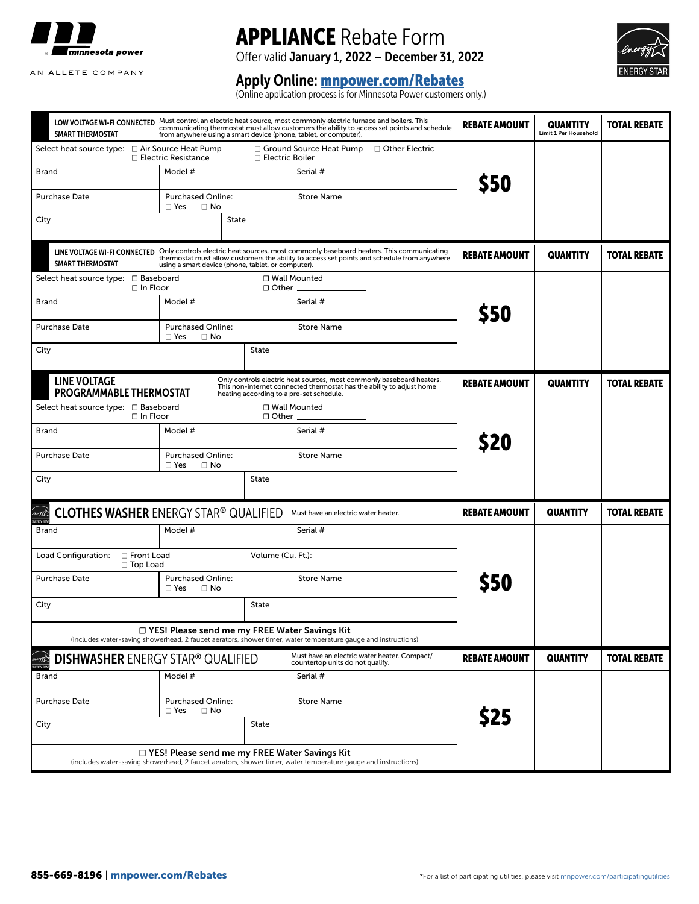

# APPLIANCE Rebate Form

Offer valid January 1, 2022 – December 31, 2022



# Apply Online: <u>[mnpower.com/Rebates](http://www.mnpower.com/rebates)</u>

(Online application process is for Minnesota Power customers only.)

| <b>SMART THERMOSTAT</b>                                                                                                                                                                                                                                                                                  | LOW VOLTAGE WI-FI CONNECTED Must control an electric heat source, most commonly electric furnace and boilers. This<br>communicating thermostat must allow customers the ability to access set points and schedule<br>from anywhere using a smart device (phone, tablet, or computer). |              |                                                                                                                                                                                            |                      | <b>QUANTITY</b><br><b>Limit 1 Per Household</b> | <b>TOTAL REBATE</b> |
|----------------------------------------------------------------------------------------------------------------------------------------------------------------------------------------------------------------------------------------------------------------------------------------------------------|---------------------------------------------------------------------------------------------------------------------------------------------------------------------------------------------------------------------------------------------------------------------------------------|--------------|--------------------------------------------------------------------------------------------------------------------------------------------------------------------------------------------|----------------------|-------------------------------------------------|---------------------|
| □ Ground Source Heat Pump<br>□ Other Electric<br>Select heat source type: □ Air Source Heat Pump<br>□ Electric Resistance<br>□ Electric Boiler                                                                                                                                                           |                                                                                                                                                                                                                                                                                       |              |                                                                                                                                                                                            |                      |                                                 |                     |
| Brand                                                                                                                                                                                                                                                                                                    | Model #                                                                                                                                                                                                                                                                               |              | Serial #                                                                                                                                                                                   | \$50                 |                                                 |                     |
| Purchase Date                                                                                                                                                                                                                                                                                            | <b>Purchased Online:</b><br>$\Box$ Yes<br>$\Box$ No                                                                                                                                                                                                                                   |              | <b>Store Name</b>                                                                                                                                                                          |                      |                                                 |                     |
| City                                                                                                                                                                                                                                                                                                     | State                                                                                                                                                                                                                                                                                 |              |                                                                                                                                                                                            |                      |                                                 |                     |
| Only controls electric heat sources, most commonly baseboard heaters. This communicating<br>LINE VOLTAGE WI-FI CONNECTED<br>thermostat must allow customers the ability to access set points and schedule from anywhere<br><b>SMART THERMOSTAT</b><br>using a smart device (phone, tablet, or computer). |                                                                                                                                                                                                                                                                                       |              |                                                                                                                                                                                            | <b>REBATE AMOUNT</b> | <b>QUANTITY</b>                                 | <b>TOTAL REBATE</b> |
| □ Wall Mounted<br>Select heat source type: □ Baseboard<br>$\Box$ In Floor<br>$\Box$ Other $\Box$                                                                                                                                                                                                         |                                                                                                                                                                                                                                                                                       |              |                                                                                                                                                                                            |                      |                                                 |                     |
| Brand                                                                                                                                                                                                                                                                                                    | Model #                                                                                                                                                                                                                                                                               |              | Serial #                                                                                                                                                                                   | <b>\$50</b>          |                                                 |                     |
| <b>Purchase Date</b>                                                                                                                                                                                                                                                                                     | <b>Purchased Online:</b><br>$\Box$ Yes<br>$\Box$ No                                                                                                                                                                                                                                   |              | <b>Store Name</b>                                                                                                                                                                          |                      |                                                 |                     |
| City                                                                                                                                                                                                                                                                                                     |                                                                                                                                                                                                                                                                                       | <b>State</b> |                                                                                                                                                                                            |                      |                                                 |                     |
| <b>LINE VOLTAGE</b><br><b>PROGRAMMABLE THERMOSTAT</b>                                                                                                                                                                                                                                                    |                                                                                                                                                                                                                                                                                       |              | Only controls electric heat sources, most commonly baseboard heaters.<br>This non-internet connected thermostat has the ability to adjust home<br>heating according to a pre-set schedule. | <b>REBATE AMOUNT</b> | <b>QUANTITY</b>                                 | <b>TOTAL REBATE</b> |
| Select heat source type: □ Baseboard<br>□ Wall Mounted<br>$\Box$ In Floor<br>$\Box$ Other $\Box$                                                                                                                                                                                                         |                                                                                                                                                                                                                                                                                       |              |                                                                                                                                                                                            |                      |                                                 |                     |
| Brand                                                                                                                                                                                                                                                                                                    | Model #                                                                                                                                                                                                                                                                               |              | Serial #                                                                                                                                                                                   | \$20                 |                                                 |                     |
| Purchase Date                                                                                                                                                                                                                                                                                            | <b>Purchased Online:</b><br>$\Box$ Yes<br>$\Box$ No                                                                                                                                                                                                                                   |              | <b>Store Name</b>                                                                                                                                                                          |                      |                                                 |                     |
| <b>State</b><br>City                                                                                                                                                                                                                                                                                     |                                                                                                                                                                                                                                                                                       |              |                                                                                                                                                                                            |                      |                                                 |                     |
| <b>CLOTHES WASHER ENERGY STAR® QUALIFIED</b>                                                                                                                                                                                                                                                             |                                                                                                                                                                                                                                                                                       |              | Must have an electric water heater.                                                                                                                                                        | <b>REBATE AMOUNT</b> | <b>QUANTITY</b>                                 | <b>TOTAL REBATE</b> |
| Model #<br>Brand                                                                                                                                                                                                                                                                                         |                                                                                                                                                                                                                                                                                       | Serial #     |                                                                                                                                                                                            |                      |                                                 |                     |
| □ Front Load<br>Load Configuration:<br>□ Top Load                                                                                                                                                                                                                                                        | Volume (Cu. Ft.):                                                                                                                                                                                                                                                                     |              |                                                                                                                                                                                            |                      |                                                 |                     |
| <b>Purchase Date</b>                                                                                                                                                                                                                                                                                     | <b>Purchased Online:</b><br>$\Box$ No<br>$\Box$ Yes                                                                                                                                                                                                                                   |              | <b>Store Name</b>                                                                                                                                                                          | <b>S50</b>           |                                                 |                     |
| City                                                                                                                                                                                                                                                                                                     | <b>State</b>                                                                                                                                                                                                                                                                          |              |                                                                                                                                                                                            |                      |                                                 |                     |
| □ YES! Please send me my FREE Water Savings Kit<br>(includes water-saving showerhead, 2 faucet aerators, shower timer, water temperature gauge and instructions)                                                                                                                                         |                                                                                                                                                                                                                                                                                       |              |                                                                                                                                                                                            |                      |                                                 |                     |
| Must have an electric water heater. Compact/<br><b>DISHWASHER ENERGY STAR® QUALIFIED</b><br>countertop units do not qualify.                                                                                                                                                                             |                                                                                                                                                                                                                                                                                       |              |                                                                                                                                                                                            | <b>REBATE AMOUNT</b> | <b>QUANTITY</b>                                 | <b>TOTAL REBATE</b> |
| Brand                                                                                                                                                                                                                                                                                                    | Model #                                                                                                                                                                                                                                                                               |              | Serial #                                                                                                                                                                                   |                      |                                                 |                     |
| Purchase Date                                                                                                                                                                                                                                                                                            | <b>Purchased Online:</b><br>$\Box$ Yes<br>$\Box$ No                                                                                                                                                                                                                                   |              | <b>Store Name</b>                                                                                                                                                                          |                      |                                                 |                     |
| City                                                                                                                                                                                                                                                                                                     | State                                                                                                                                                                                                                                                                                 |              |                                                                                                                                                                                            | \$25                 |                                                 |                     |
| $\Box$ YES! Please send me my FREE Water Savings Kit<br>(includes water-saving showerhead, 2 faucet aerators, shower timer, water temperature gauge and instructions)                                                                                                                                    |                                                                                                                                                                                                                                                                                       |              |                                                                                                                                                                                            |                      |                                                 |                     |
|                                                                                                                                                                                                                                                                                                          |                                                                                                                                                                                                                                                                                       |              |                                                                                                                                                                                            |                      |                                                 |                     |